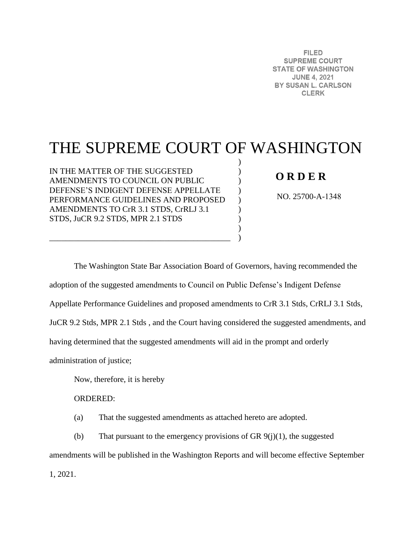**FILED SUPREME COURT STATE OF WASHINGTON JUNE 4, 2021** BY SUSAN L. CARLSON **CLERK** 

# THE SUPREME COURT OF WASHINGTON

) ) )  $\mathcal{L}$  $\mathcal{L}$ ) ) )  $\lambda$ 

IN THE MATTER OF THE SUGGESTED AMENDMENTS TO COUNCIL ON PUBLIC DEFENSE'S INDIGENT DEFENSE APPELLATE PERFORMANCE GUIDELINES AND PROPOSED AMENDMENTS TO CrR 3.1 STDS, CrRLJ 3.1 STDS, JuCR 9.2 STDS, MPR 2.1 STDS

\_\_\_\_\_\_\_\_\_\_\_\_\_\_\_\_\_\_\_\_\_\_\_\_\_\_\_\_\_\_\_\_\_\_\_\_\_\_\_\_\_\_\_\_

# **O R D E R**

NO. 25700-A-1348

The Washington State Bar Association Board of Governors, having recommended the adoption of the suggested amendments to Council on Public Defense's Indigent Defense Appellate Performance Guidelines and proposed amendments to CrR 3.1 Stds, CrRLJ 3.1 Stds, JuCR 9.2 Stds, MPR 2.1 Stds , and the Court having considered the suggested amendments, and having determined that the suggested amendments will aid in the prompt and orderly administration of justice;

Now, therefore, it is hereby

ORDERED:

(a) That the suggested amendments as attached hereto are adopted.

(b) That pursuant to the emergency provisions of GR  $9(j)(1)$ , the suggested amendments will be published in the Washington Reports and will become effective September 1, 2021.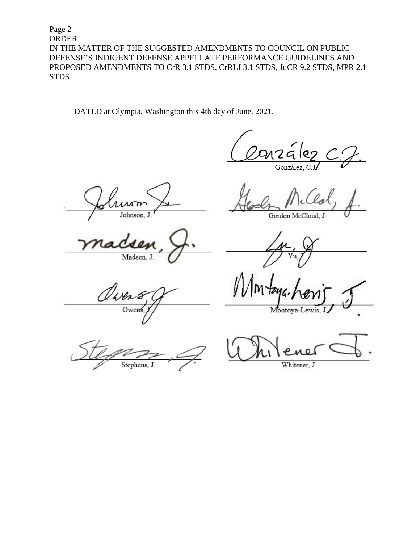Page 2 **ORDER** IN THE MATTER OF THE SUGGESTED AMENDMENTS TO COUNCIL ON PUBLIC DEFENSE'S INDIGENT DEFENSE APPELLATE PERFORMANCE GUIDELINES AND PROPOSED AMENDMENTS TO CrR 3.1 STDS, CrRLJ 3.1 STDS, JuCR 9.2 STDS, MPR 2.1 **STDS** 

DATED at Olympia, Washington this 4th day of June, 2021.

nzález González, C.

Johnson.

Madsen, J.

Owen Owen

Stephens, J.

Gordon McCloud, J.

Montoya-L

Whitener, J.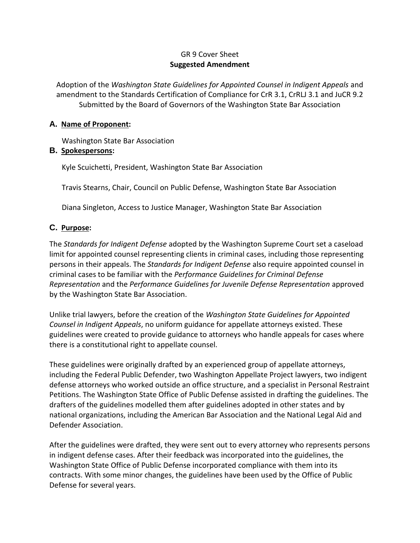### GR 9 Cover Sheet **Suggested Amendment**

Adoption of the *Washington State Guidelines for Appointed Counsel in Indigent Appeals* and amendment to the Standards Certification of Compliance for CrR 3.1, CrRLJ 3.1 and JuCR 9.2 Submitted by the Board of Governors of the Washington State Bar Association

#### **A. Name of Proponent:**

Washington State Bar Association

## **B. Spokespersons:**

Kyle Scuichetti, President, Washington State Bar Association

Travis Stearns, Chair, Council on Public Defense, Washington State Bar Association

Diana Singleton, Access to Justice Manager, Washington State Bar Association

# **C. Purpose:**

The *Standards for Indigent Defense* adopted by the Washington Supreme Court set a caseload limit for appointed counsel representing clients in criminal cases, including those representing persons in their appeals. The *Standards for Indigent Defense* also require appointed counsel in criminal cases to be familiar with the *Performance Guidelines for Criminal Defense Representation* and the *Performance Guidelines for Juvenile Defense Representation* approved by the Washington State Bar Association.

Unlike trial lawyers, before the creation of the *Washington State Guidelines for Appointed Counsel in Indigent Appeals*, no uniform guidance for appellate attorneys existed. These guidelines were created to provide guidance to attorneys who handle appeals for cases where there is a constitutional right to appellate counsel.

These guidelines were originally drafted by an experienced group of appellate attorneys, including the Federal Public Defender, two Washington Appellate Project lawyers, two indigent defense attorneys who worked outside an office structure, and a specialist in Personal Restraint Petitions. The Washington State Office of Public Defense assisted in drafting the guidelines. The drafters of the guidelines modelled them after guidelines adopted in other states and by national organizations, including the American Bar Association and the National Legal Aid and Defender Association.

After the guidelines were drafted, they were sent out to every attorney who represents persons in indigent defense cases. After their feedback was incorporated into the guidelines, the Washington State Office of Public Defense incorporated compliance with them into its contracts. With some minor changes, the guidelines have been used by the Office of Public Defense for several years.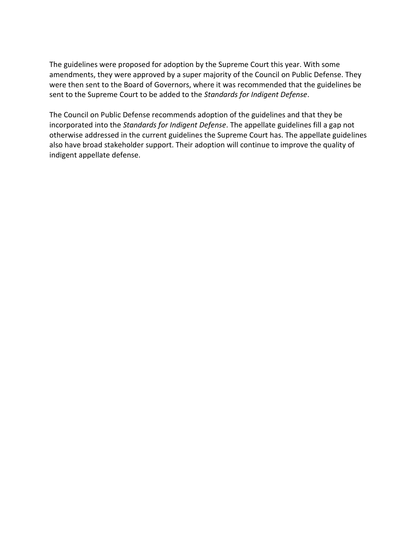The guidelines were proposed for adoption by the Supreme Court this year. With some amendments, they were approved by a super majority of the Council on Public Defense. They were then sent to the Board of Governors, where it was recommended that the guidelines be sent to the Supreme Court to be added to the *Standards for Indigent Defense*.

The Council on Public Defense recommends adoption of the guidelines and that they be incorporated into the *Standards for Indigent Defense*. The appellate guidelines fill a gap not otherwise addressed in the current guidelines the Supreme Court has. The appellate guidelines also have broad stakeholder support. Their adoption will continue to improve the quality of indigent appellate defense.